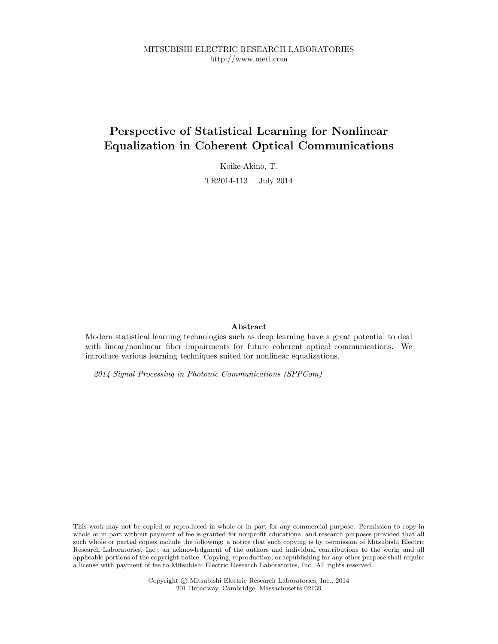MITSUBISHI ELECTRIC RESEARCH LABORATORIES http://www.merl.com

# Perspective of Statistical Learning for Nonlinear Equalization in Coherent Optical Communications

Koike-Akino, T.

TR2014-113 July 2014

# Abstract

Modern statistical learning technologies such as deep learning have a great potential to deal with linear/nonlinear fiber impairments for future coherent optical communications. We introduce various learning techniques suited for nonlinear equalizations.

2014 Signal Processing in Photonic Communications (SPPCom)

This work may not be copied or reproduced in whole or in part for any commercial purpose. Permission to copy in whole or in part without payment of fee is granted for nonprofit educational and research purposes provided that all such whole or partial copies include the following: a notice that such copying is by permission of Mitsubishi Electric Research Laboratories, Inc.; an acknowledgment of the authors and individual contributions to the work; and all applicable portions of the copyright notice. Copying, reproduction, or republishing for any other purpose shall require a license with payment of fee to Mitsubishi Electric Research Laboratories, Inc. All rights reserved.

> Copyright © Mitsubishi Electric Research Laboratories, Inc., 2014 201 Broadway, Cambridge, Massachusetts 02139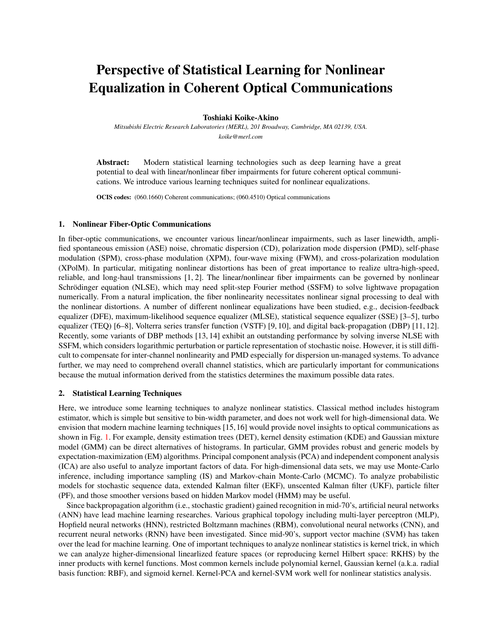# Perspective of Statistical Learning for Nonlinear Equalization in Coherent Optical Communications

#### Toshiaki Koike-Akino

*Mitsubishi Electric Research Laboratories (MERL), 201 Broadway, Cambridge, MA 02139, USA. koike@merl.com*

Abstract: Modern statistical learning technologies such as deep learning have a great potential to deal with linear/nonlinear fiber impairments for future coherent optical communications. We introduce various learning techniques suited for nonlinear equalizations.

OCIS codes: (060.1660) Coherent communications; (060.4510) Optical communications

#### 1. Nonlinear Fiber-Optic Communications

In fiber-optic communications, we encounter various linear/nonlinear impairments, such as laser linewidth, amplified spontaneous emission (ASE) noise, chromatic dispersion (CD), polarization mode dispersion (PMD), self-phase modulation (SPM), cross-phase modulation (XPM), four-wave mixing (FWM), and cross-polarization modulation (XPolM). In particular, mitigating nonlinear distortions has been of great importance to realize ultra-high-speed, reliable, and long-haul transmissions [1, 2]. The linear/nonlinear fiber impairments can be governed by nonlinear Schrödinger equation (NLSE), which may need split-step Fourier method (SSFM) to solve lightwave propagation numerically. From a natural implication, the fiber nonlinearity necessitates nonlinear signal processing to deal with the nonlinear distortions. A number of different nonlinear equalizations have been studied, e.g., decision-feedback equalizer (DFE), maximum-likelihood sequence equalizer (MLSE), statistical sequence equalizer (SSE) [3–5], turbo equalizer (TEQ) [6–8], Volterra series transfer function (VSTF) [9, 10], and digital back-propagation (DBP) [11, 12]. Recently, some variants of DBP methods [13, 14] exhibit an outstanding performance by solving inverse NLSE with SSFM, which considers logarithmic perturbation or particle representation of stochastic noise. However, it is still difficult to compensate for inter-channel nonlinearity and PMD especially for dispersion un-managed systems. To advance further, we may need to comprehend overall channel statistics, which are particularly important for communications because the mutual information derived from the statistics determines the maximum possible data rates.

#### 2. Statistical Learning Techniques

Here, we introduce some learning techniques to analyze nonlinear statistics. Classical method includes histogram estimator, which is simple but sensitive to bin-width parameter, and does not work well for high-dimensional data. We envision that modern machine learning techniques [15, 16] would provide novel insights to optical communications as shown in Fig. 1. For example, density estimation trees (DET), kernel density estimation (KDE) and Gaussian mixture model (GMM) can be direct alternatives of histograms. In particular, GMM provides robust and generic models by expectation-maximization (EM) algorithms. Principal component analysis (PCA) and independent component analysis (ICA) are also useful to analyze important factors of data. For high-dimensional data sets, we may use Monte-Carlo inference, including importance sampling (IS) and Markov-chain Monte-Carlo (MCMC). To analyze probabilistic models for stochastic sequence data, extended Kalman filter (EKF), unscented Kalman filter (UKF), particle filter (PF), and those smoother versions based on hidden Markov model (HMM) may be useful.

Since backpropagation algorithm (i.e., stochastic gradient) gained recognition in mid-70's, artificial neural networks (ANN) have lead machine learning researches. Various graphical topology including multi-layer perceptron (MLP), Hopfield neural networks (HNN), restricted Boltzmann machines (RBM), convolutional neural networks (CNN), and recurrent neural networks (RNN) have been investigated. Since mid-90's, support vector machine (SVM) has taken over the lead for machine learning. One of important techniques to analyze nonlinear statistics is kernel trick, in which we can analyze higher-dimensional linearlized feature spaces (or reproducing kernel Hilbert space: RKHS) by the inner products with kernel functions. Most common kernels include polynomial kernel, Gaussian kernel (a.k.a. radial basis function: RBF), and sigmoid kernel. Kernel-PCA and kernel-SVM work well for nonlinear statistics analysis.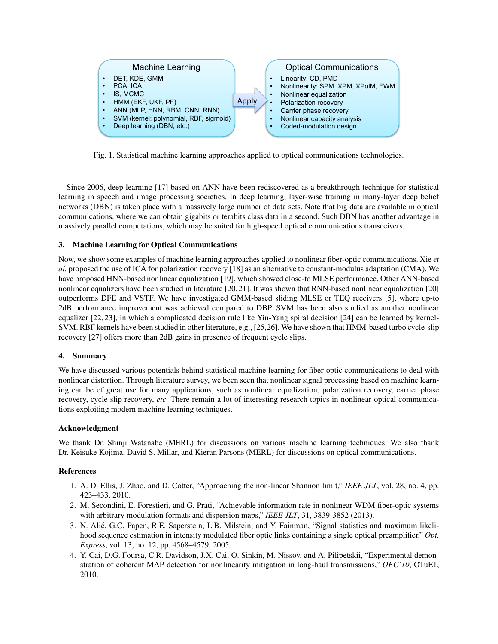

Fig. 1. Statistical machine learning approaches applied to optical communications technologies.

Since 2006, deep learning [17] based on ANN have been rediscovered as a breakthrough technique for statistical learning in speech and image processing societies. In deep learning, layer-wise training in many-layer deep belief networks (DBN) is taken place with a massively large number of data sets. Note that big data are available in optical communications, where we can obtain gigabits or terabits class data in a second. Such DBN has another advantage in massively parallel computations, which may be suited for high-speed optical communications transceivers.

# 3. Machine Learning for Optical Communications

Now, we show some examples of machine learning approaches applied to nonlinear fiber-optic communications. Xie *et al.* proposed the use of ICA for polarization recovery [18] as an alternative to constant-modulus adaptation (CMA). We have proposed HNN-based nonlinear equalization [19], which showed close-to MLSE performance. Other ANN-based nonlinear equalizers have been studied in literature [20, 21]. It was shown that RNN-based nonlinear equalization [20] outperforms DFE and VSTF. We have investigated GMM-based sliding MLSE or TEQ receivers [5], where up-to 2dB performance improvement was achieved compared to DBP. SVM has been also studied as another nonlinear equalizer [22, 23], in which a complicated decision rule like Yin-Yang spiral decision [24] can be learned by kernel-SVM. RBF kernels have been studied in other literature, e.g., [25,26]. We have shown that HMM-based turbo cycle-slip recovery [27] offers more than 2dB gains in presence of frequent cycle slips.

# 4. Summary

We have discussed various potentials behind statistical machine learning for fiber-optic communications to deal with nonlinear distortion. Through literature survey, we been seen that nonlinear signal processing based on machine learning can be of great use for many applications, such as nonlinear equalization, polarization recovery, carrier phase recovery, cycle slip recovery, *etc*. There remain a lot of interesting research topics in nonlinear optical communications exploiting modern machine learning techniques.

# Acknowledgment

We thank Dr. Shinji Watanabe (MERL) for discussions on various machine learning techniques. We also thank Dr. Keisuke Kojima, David S. Millar, and Kieran Parsons (MERL) for discussions on optical communications.

# References

- 1. A. D. Ellis, J. Zhao, and D. Cotter, "Approaching the non-linear Shannon limit," *IEEE JLT*, vol. 28, no. 4, pp. 423–433, 2010.
- 2. M. Secondini, E. Forestieri, and G. Prati, "Achievable information rate in nonlinear WDM fiber-optic systems with arbitrary modulation formats and dispersion maps," *IEEE JLT*, 31, 3839-3852 (2013).
- 3. N. Alic, G.C. Papen, R.E. Saperstein, L.B. Milstein, and Y. Fainman, "Signal statistics and maximum likeli- ´ hood sequence estimation in intensity modulated fiber optic links containing a single optical preamplifier," *Opt. Express*, vol. 13, no. 12, pp. 4568–4579, 2005.
- 4. Y. Cai, D.G. Foursa, C.R. Davidson, J.X. Cai, O. Sinkin, M. Nissov, and A. Pilipetskii, "Experimental demonstration of coherent MAP detection for nonlinearity mitigation in long-haul transmissions," *OFC'10*, OTuE1, 2010.